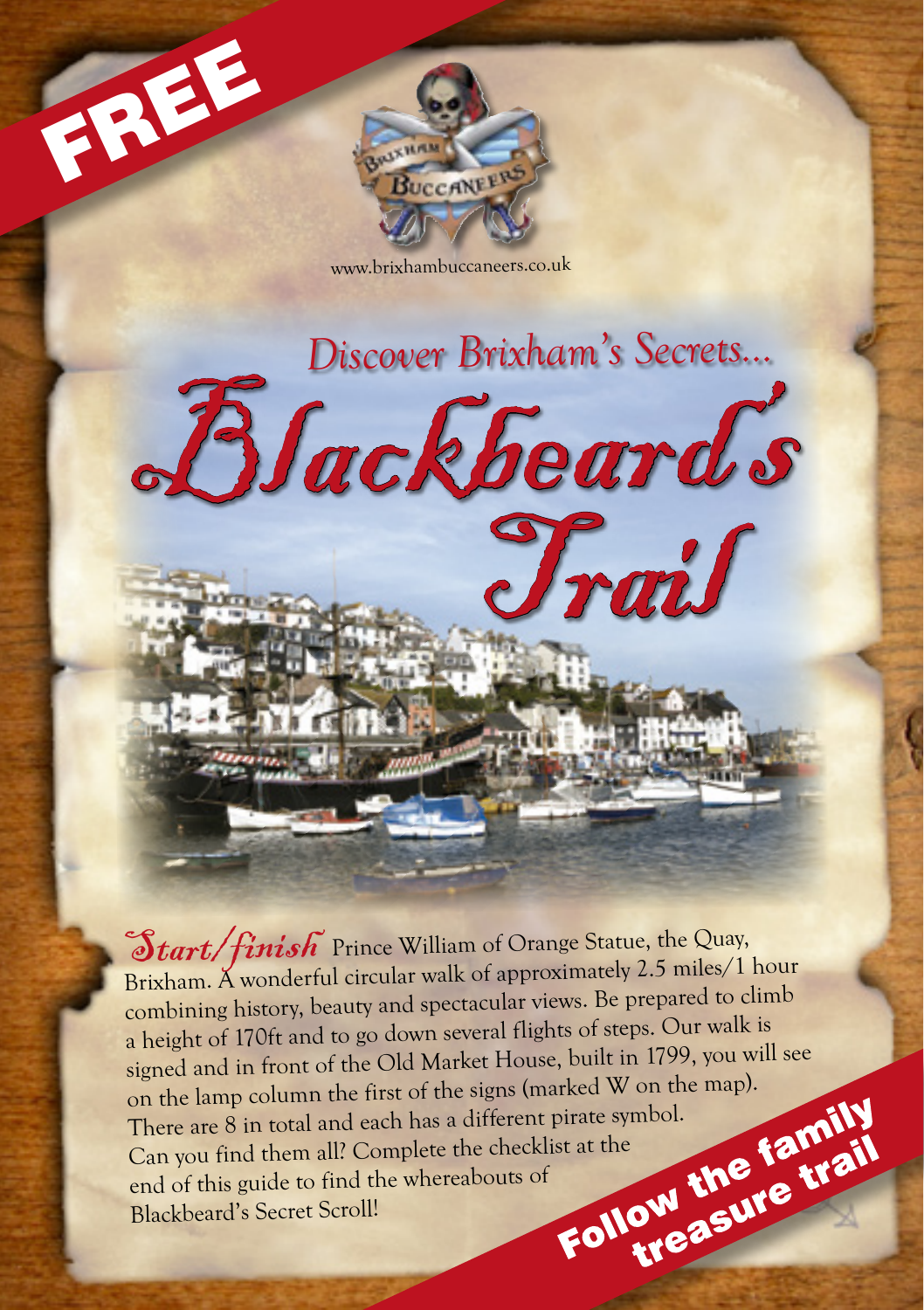



www.brixhambuccaneers.co.uk

Blackbeard's

*Discover Brixham's Secrets...*

Trail

 $\mathcal{L}_{\text{tart}}/$  finish Prince William of Orange Statue, the Quay, Brixham. A wonderful circular walk of approximately 2.5 miles/1 hour combining history, beauty and spectacular views. Be prepared to climb a height of 170ft and to go down several flights of steps. Our walk is signed and in front of the Old Market House, built in 1799, you will see<br>on the lamp column the first of the signs (marked W on the map).<br>There are 8 in total and each has a different pirate symbol.<br>Can you find them all? on the lamp column the first of the signs (marked W on the map). There are 8 in total and each has a different pirate symbol.<br>Can you find them all? Complete the checklist at the<br>end of this guide to find the whereabouts of<br>Blackbeard's Secret Scroll! Can you find them all? Complete the checklist at the end of this guide to find the whereabouts of Blackbeard's Secret Scroll!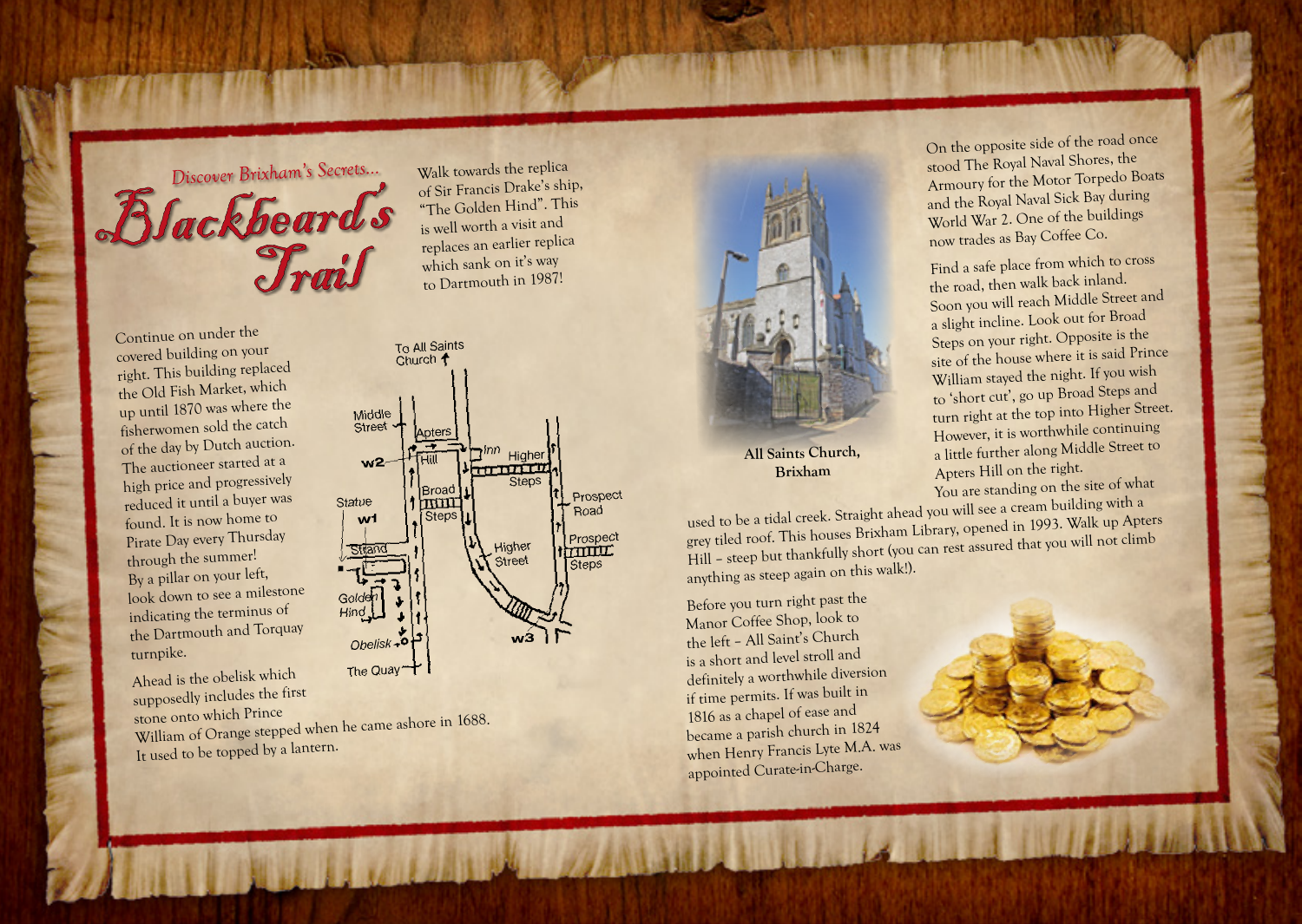

Continue on under the covered building on your right. This building replaced the Old Fish Market, which up until 1870 was where the fisherwomen sold the catch of the day by Dutch auction. The auctioneer started at a high price and progressively reduced it until a buyer was found. It is now home to Pirate Day every Thursday through the summer! By a pillar on your left, look down to see a milestone indicating the terminus o<sup>f</sup> the Dartmouth and Torquay turnpike.

Ahead is the obelisk which supposedly includes the first

To All Saints Church 1 Middle Street Anters ובן Higher<br>דודו דוד  $w2$ **I**Broac Prospect Statue  $1$   $\pi \pi \pi$ Road Steps  $w<sub>1</sub>$ Prospect<br>TITTLE Higher Stran Street Steps Obelisk

is well worth a visit an<sup>d</sup> replaces an earlier replica which sank on it's way to Dartmouth in 1987!

The Quay

stone onto which Prince William of Orange stepped when he came ashore in 1688. It used to be topped by a lantern.



**All Saints Church, Brixham**

On the opposite side of the road once stood The Royal Naval Shores, the Armoury for the Motor Torpedo Boats and the Royal Naval Sick Bay during World War 2. One of the buildings now trades as Bay Coffee Co.

Find a safe place from which to cross the road, then walk back inland. Soon you will reach Middle Street an<sup>d</sup> a slight incline. Look out for Broad Steps on your right. Opposite is the site of the house where it is said Prince William stayed the night. If you wis<sup>h</sup> to 'short cut', go up Broad Steps an<sup>d</sup> turn right at the top into Higher Street. However, it is worthwhile continuing a little further along Middle Street to Apters Hill on the right. You are standing on the site of what

used to be a tidal creek. Straight ahead you will see a cream building with a grey tiled roof. This houses Brixham Library, opened in 1993. Walk up Apters Hill – steep but thankfully short (you can rest assured that you will not climb anything as steep again on this walk!).

Before you turn right past the Manor Coffee Shop, look to the left – All Saint's Church is a short and level stroll and definitely a worthwhile diversion if time permits. If was built in 1816 as a chapel of ease an<sup>d</sup> became a parish church in 1824 when Henry Francis Lyte M.A. was appointed Curate-in-Charge.

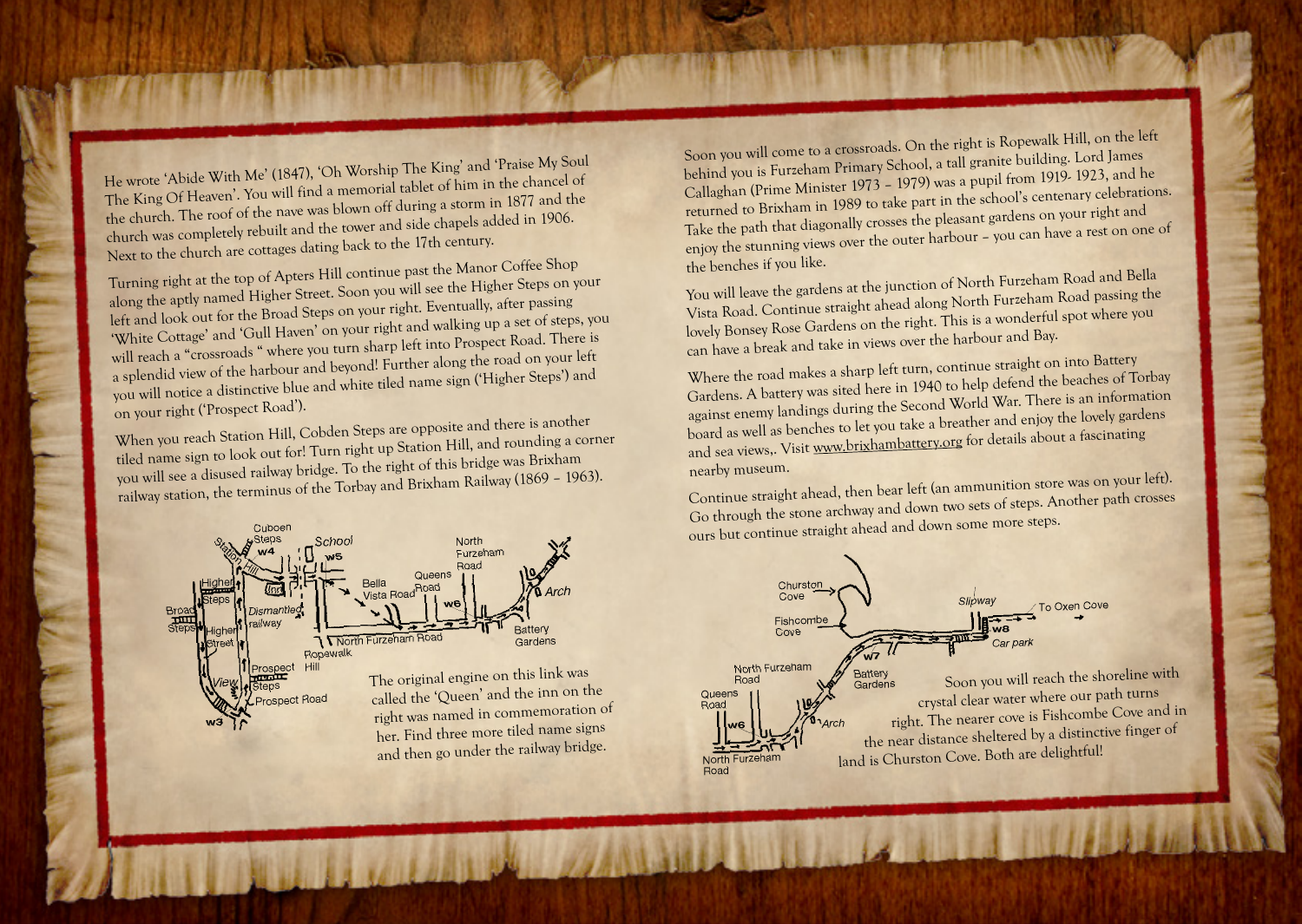He wrote 'Abide With Me' (1847), 'Oh Worship The King' and 'Praise My Soul The King Of Heaven'. You will find a memorial tablet of him in the chancel of the church. The roof of the nave was blown off during a storm in 1877 and the church was completely rebuilt and the tower and side chapels added in 1906. Next to the church are cottages dating back to the 17th century.

Turning right at the top of Apters Hill continue past the Manor Coffee Shop along the aptly named Higher Street. Soon you will see the Higher Steps on your left and look out for the Broad Steps on your right. Eventually, after passing 'White Cottage' and 'Gull Haven' on your right and walking up a set of steps, you will reach a "crossroads " where you turn sharp left into Prospect Road. There is a splendid view of the harbour and beyond! Further along the road on your left you will notice a distinctive blue and white tiled name sign ('Higher Steps') and on your right ('Prospect Road').

When you reach Station Hill, Cobden Steps are opposite and there is another tiled name sign to look out for! Turn right up Station Hill, and rounding a corner you will see a disused railway bridge. To the right of this bridge was Brixham railway station, the terminus of the Torbay and Brixham Railway (1869 – 1963).



Soon you will come to a crossroads. On the right is Ropewalk Hill, on the left behind you is Furzeham Primary School, a tall granite building. Lord James Callaghan (Prime Minister 1973 – 1979) was a pupil from 1919- 1923, and he returned to Brixham in 1989 to take part in the school's centenary celebrations. Take the path that diagonally crosses the pleasant gardens on your right and enjoy the stunning views over the outer harbour – you can have a rest on one o<sup>f</sup> the benches if you like.

You will leave the gardens at the junction of North Furzeham Road and Bella Vista Road. Continue straight ahead along North Furzeham Road passing the lovely Bonsey Rose Gardens on the right. This is a wonderful spot where you can have a break and take in views over the harbour and Bay.

Where the road makes a sharp left turn, continue straight on into Battery Gardens. A battery was sited here in 1940 to help defend the beaches of Torbay against enemy landings during the Second World War. There is an information board as well as benches to let you take a breather and enjoy the lovely gardens and sea views,. Visit www.brixhambattery.org for details about a fascinating nearby museum.

Continue straight ahead, then bear left (an ammunition store was on your left). Go through the stone archway and down two sets of steps. Another path crosses ours but continue straight ahead and down some more steps.

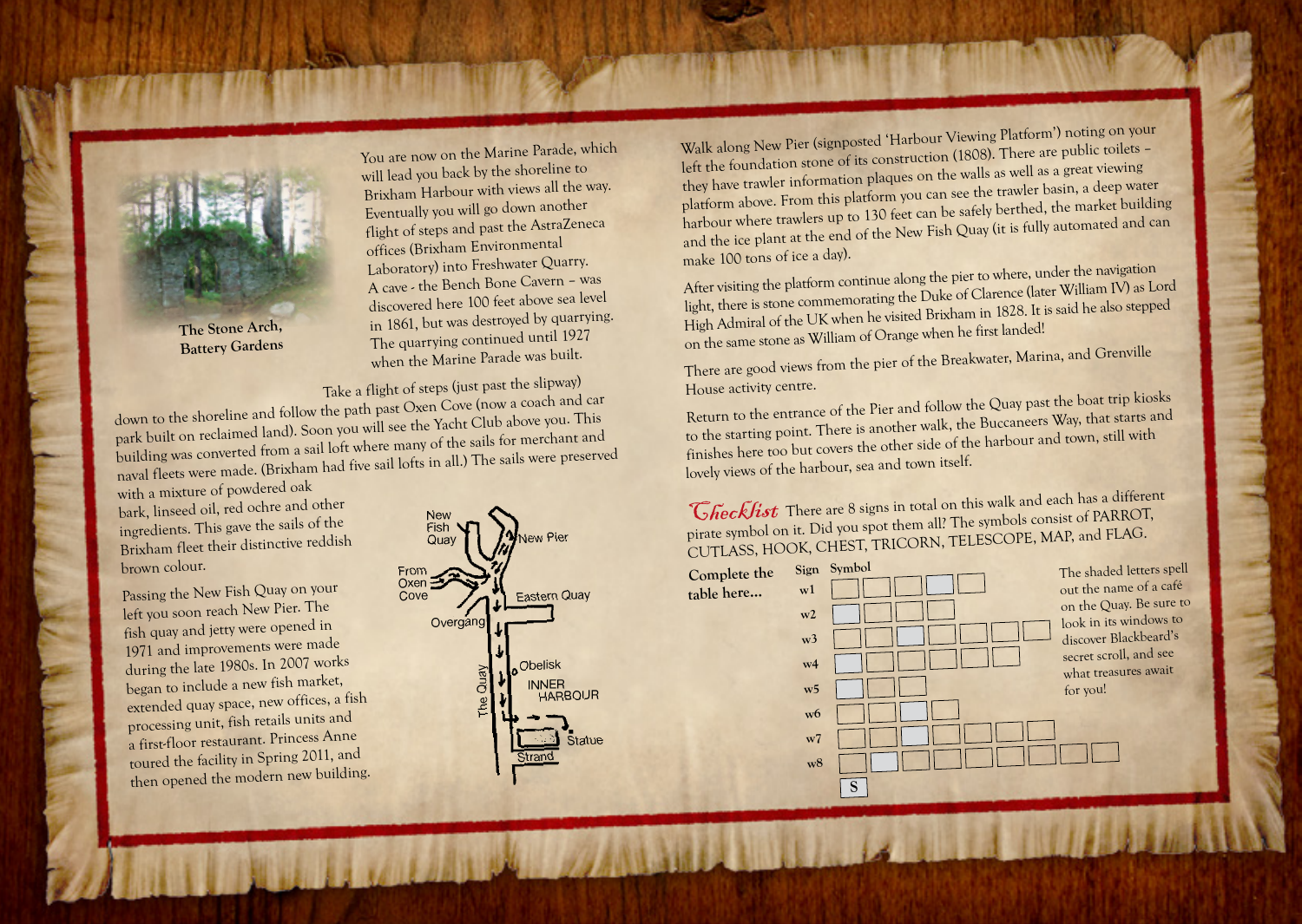

**The Stone Arch, Battery Gardens**

You are now on the Marine Parade, which will lead you back by the shoreline to Brixham Harbour with views all the way. Eventually you will go down another flight of steps and past the AstraZeneca offices (Brixham Environmenta<sup>l</sup> Laboratory) into Freshwater Quarry. A cave - the Bench Bone Cavern – was discovered here 100 feet above sea level in 1861, but was destroyed by quarrying. The quarrying continued until 1927 when the Marine Parade was built.

Take a flight of steps (just past the slipway)

down to the shoreline and follow the path past Oxen Cove (now a coach and car park built on reclaimed land). Soon you will see the Yacht Club above you. This building was converted from a sail loft where many of the sails for merchant an<sup>d</sup> naval fleets were made. (Brixham had five sail lofts in all.) The sails were preserve<sup>d</sup>

with a mixture of powdered oak bark, linseed oil, red ochre and other ingredients. This gave the sails of the Brixham fleet their distinctive reddish brown colour.

Passing the New Fish Quay on your left you soon reach New Pier. The fish quay and jetty were opened in 1971 and improvements were made during the late 1980s. In 2007 works began to include a new fish market, extended quay space, new offices, a fish processing unit, fish retails units and a first-floor restaurant. Princess Anne toured the facility in Spring 2011, and then opened the modern new building.



Walk along New Pier (signposted 'Harbour Viewing Platform') noting on your left the foundation stone of its construction (1808). There are public toilets – they have trawler information plaques on the walls as well as a great viewing platform above. From this platform you can see the trawler basin, a deep water harbour where trawlers up to 130 feet can be safely berthed, the market building and the ice plant at the end of the New Fish Quay (it is fully automated and can make 100 tons of ice a day).

After visiting the platform continue along the pier to where, under the navigation light, there is stone commemorating the Duke of Clarence (later William IV) as Lord High Admiral of the UK when he visited Brixham in 1828. It is said he also steppe<sup>d</sup> on the same stone as William of Orange when he first landed!

There are good views from the pier of the Breakwater, Marina, and Grenville House activity centre.

Return to the entrance of the Pier and follow the Quay past the boat trip kiosks to the starting point. There is another walk, the Buccaneers Way, that starts an<sup>d</sup> finishes here too but covers the other side of the harbour and town, still with lovely views of the harbour, sea and town itself.

Checklist There are 8 signs in total on this walk and each has a different pirate symbol on it. Did you spot them all? The symbols consist of PARROT, CUTLASS, HOOK, CHEST, TRICORN, TELESCOPE, MAP, and FLAG.